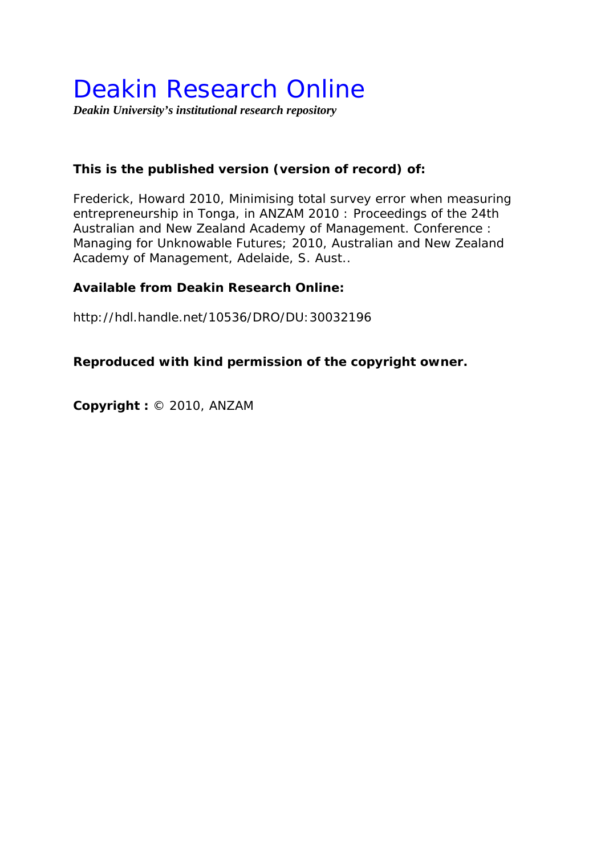# Deakin Research Online

*Deakin University's institutional research repository* 

# **This is the published version (version of record) of:**

Frederick, Howard 2010, Minimising total survey error when measuring entrepreneurship in Tonga*, in ANZAM 2010 : Proceedings of the 24th Australian and New Zealand Academy of Management. Conference : Managing for Unknowable Futures; 2010*, Australian and New Zealand Academy of Management, Adelaide, S. Aust..

## **Available from Deakin Research Online:**

http://hdl.handle.net/10536/DRO/DU:30032196

# **Reproduced with kind permission of the copyright owner.**

**Copyright :** © 2010, ANZAM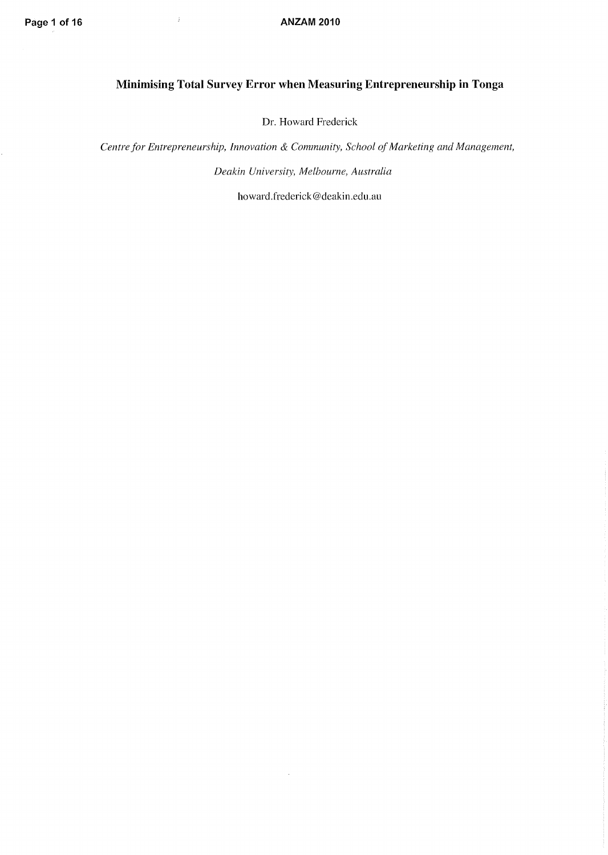# **Minimising Total Survey Error when Measuring Entrepreneurship in Tonga**

Dr. Howard Frederick

*Centre for Entrepreneurship, Innovation* & *Community, School of Marketing and Management, Deakin University, Melbourne, Australia* 

howard. frederick @deakin.edu.au

 $\hat{\mathcal{A}}$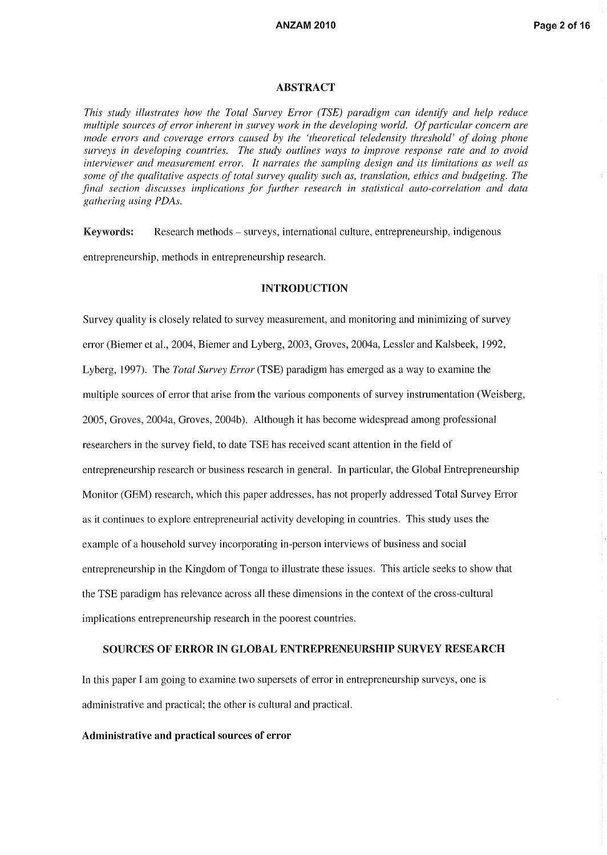#### **ABSTRACT**

*This study illustrates how the Total Survey Error (TSE) paradigm can identify and help reduce multiple sources of error inherent in survey work in the developing world. Of particular concern are mode errors and coverage errors caused by the 'theoretical teledensity threshold' of doing phone surveys in developing countries. The study outlines ways to improve response rate and to avoid interviewer and measurement error. It narrates the sampling design and its limitations as well as some of the qualitative aspects of total survey quality such as, translation, ethics and budgeting. The final section discusses implications for further research in statistical auto-correlation and data gathering using PDAs.* 

Keywords: Research methods - surveys, international culture, entrepreneurship, indigenous entrepreneurship, methods in entrepreneurship research.

#### INTRODUCTION

Survey quality is closely related to survey measurement, and monitoring and minimizing of survey error (Biemer et al., 2004, Biemer and Lyberg, 2003, Groves, 2004a, Lessler and Kalsbeek, 1992, Lyberg, 1997). The *Total Survey Error* (TSE) paradigm has emerged as a way to examine the multiple sources of error that arise from the various components of survey instrumentation (Weisberg, 2005, Groves, 2004a, Groves, 2004b). Although it has become widespread among professional researchers in the survey field, to date TSE has received scant attention in the field of entrepreneurship research or business research in general. In particular, the Global Entrepreneurship Monitor (GEM) research, which this paper addresses, has not properly addressed Total Survey Error as it continues to explore entrepreneurial activity developing in countries. This study uses the example of a household survey incorporating in-person interviews of business and social entrepreneurship in the Kingdom of Tonga to illustrate these issues. This article seeks to show that the TSE paradigm has relevance across all these dimensions in the context of the cross-cultural implications entrepreneurship research in the poorest countries.

### SOURCES OF ERROR IN GLOBAL ENTREPRENEURSHIP SURVEY RESEARCH

In this paper I am going to examine two supersets of error in entrepreneurship surveys, one is administrative and practical; the other is cultural and practical.

#### Administrative and practical sources of error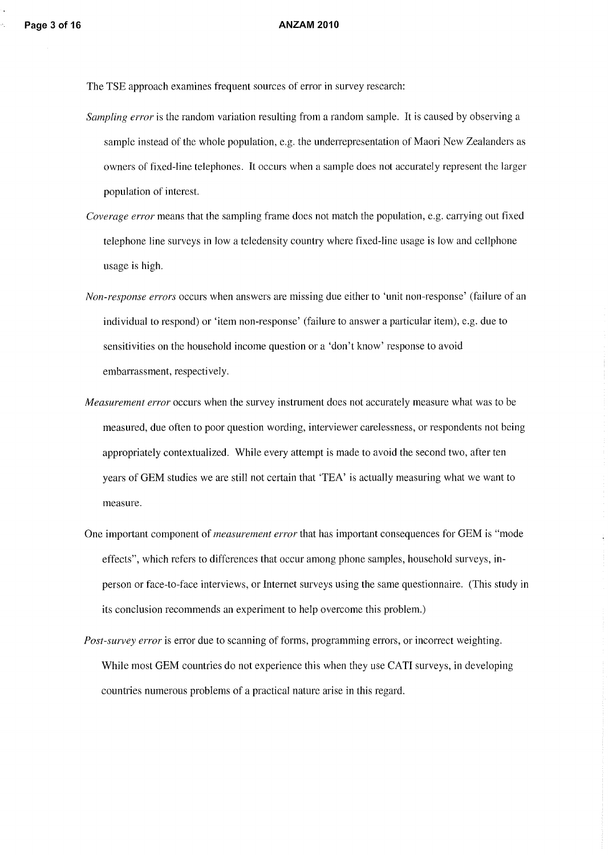The TSE approach examines frequent sources of error in survey research:

- *Sampling error* is the random variation resulting from a random sample. It is caused by observing a sample instead of the whole population, e.g. the underrepresentation of Maori New Zealanders as owners of fixed-line telephones. It occurs when a sample does not accurately represent the larger population of interest.
- *Coverage error* means that the sampling frame does not match the population, e.g. carrying out fixed telephone line surveys in Iowa teledensity country where fixed-line usage is low and ceIIphone usage is high.
- *Non-response errors* occurs when answers are missing due either to 'unit non-response' (failure of an individual to respond) or 'item non-response' (failure to answer a particular item), e.g. due to sensitivities on the household income question or a 'don't know' response to avoid embarrassment, respectively.
- *Measurement error* occurs when the survey instrument does not accurately measure what was to be measured, due often to poor question wording, interviewer carelessness, or respondents not being appropriately contextualized. While every attempt is made to avoid the second two, after ten years of GEM studies we are still not certain that 'TEA' is actuaIIy measuring what we want to measure.
- One important component of *measurement error* that has important consequences for GEM is "mode effects", which refers to differences that occur among phone samples, household surveys, inperson or face-to-face interviews, or Internet surveys using the same questionnaire. (This study in its conclusion recommends an experiment to help overcome this problem.)
- *Post-survey error* is error due to scanning of forms, programming errors, or incorrect weighting. While most GEM countries do not experience this when they use CATI surveys, in developing countries numerous problems of a practical nature arise in this regard.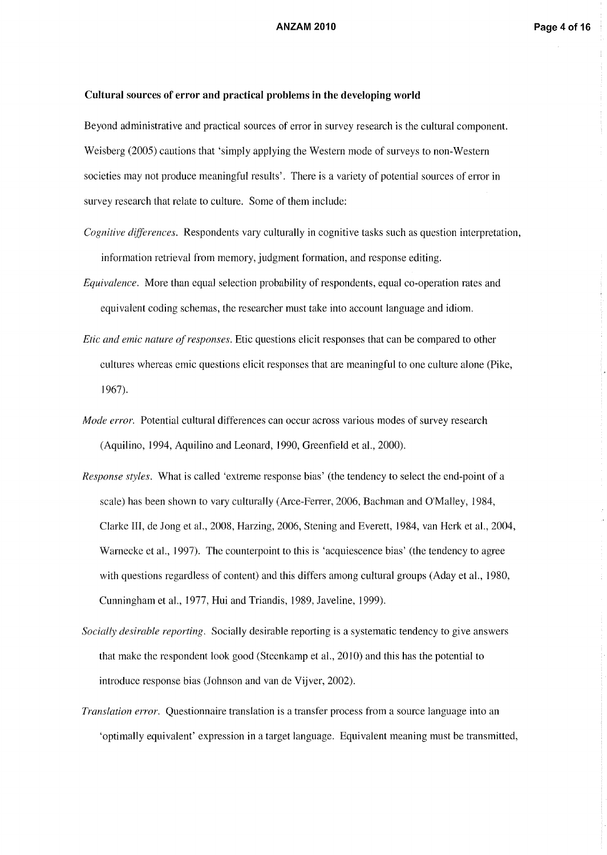### **Cultural sources of error and practical problems in the developing world**

Beyond administrative and practical sources of error in survey research is the cultural component. Weisberg (2005) cautions that 'simply applying the Western mode of surveys to non-Western societies may not produce meaningful results'. There is a variety of potential sources of error in survey research that relate to culture. Some of them include:

- *Cognitive differences.* Respondents vary culturally in cognitive tasks such as question interpretation, information retrieval from memory, judgment formation, and response editing.
- *Equivalence.* More than equal selection probability of respondents, equal co-operation rates and equivalent coding schemas, the researcher must take into account language and idiom.
- *Etic and emic nature of responses.* Etic questions elicit responses that can be compared to other cultures whereas emic questions elicit responses that are meaningful to one culture alone (Pike, 1967).
- *Mode error.* Potential cultural differences can occur across various modes of survey research (Aquilino, 1994, Aquilino and Leonard, 1990, Greenfield et aI., 2000).
- *Response styles.* What is called 'extreme response bias' (the tendency to select the end-point of a scale) has been shown to vary culturally (Arce-Ferrer, 2006, Bachman and O'Malley, 1984, Clarke III, de Jong et aI., 2008, Harzing, 2006, Stening and Everett, 1984, van Herk et aI., 2004, Warnecke et aI., 1997). The counterpoint to this is 'acquiescence bias' (the tendency to agree with questions regardless of content) and this differs among cultural groups (Aday et aI., 1980, Cunningham et aI., 1977, Hui and Triandis, 1989, Javeline, 1999).
- *Socially desirable reporting.* Socially desirable reporting is a systematic tendency to give answers that make the respondent look good (Steenkamp et aI., 2010) and this has the potential to introduce response bias (Johnson and van de Vijver, 2002).
- *Translation error.* Questionnaire translation is a transfer process from a source language into an 'optimally equivalent' expression in a target language. Equivalent meaning must be transmitted,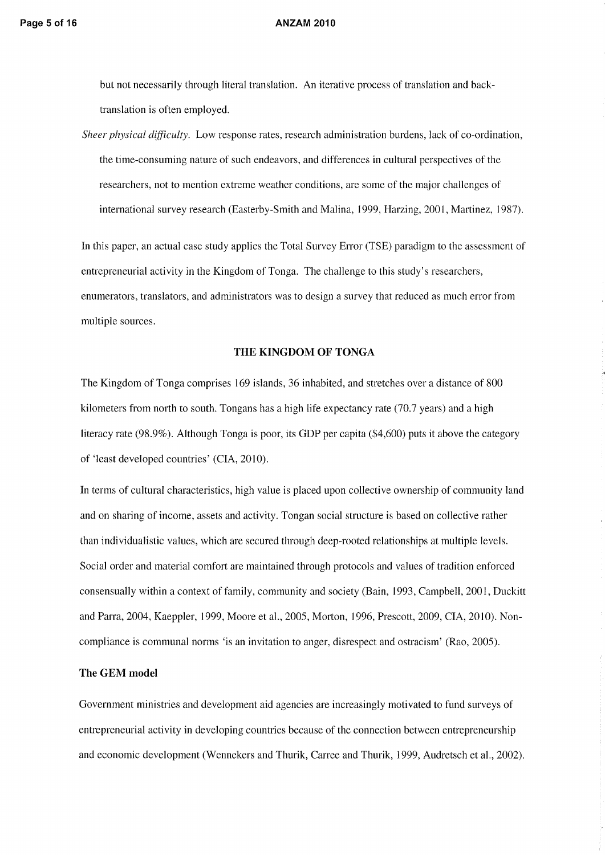but not necessarily through literal translation. An iterative process of translation and backtranslation is often employed.

*Sheer physical difficulty.* Low response rates, research administration burdens, lack of co-ordination, the time-consuming nature of such endeavors, and differences in cultural perspectives of the researchers, not to mention extreme weather conditions, are some of the major challenges of international survey research (Easterby-Smith and Malina, 1999, Harzing, 2001, Martinez, 1987).

In this paper, an actual case study applies the Total Survey Error (TSE) paradigm to the assessment of entrepreneurial activity in the Kingdom of Tonga. The challenge to this study's researchers, enumerators, translators, and administrators was to design a survey that reduced as much error from multiple sources.

### **THE KINGDOM OF TONGA**

The Kingdom of Tonga comprises 169 islands, 36 inhabited, and stretches over a distance of 800 kilometers from north to south. Tongans has a high life expectancy rate (70.7 years) and a high literacy rate (98.9%). Although Tonga is poor, its GDP per capita (\$4,600) puts it above the category of 'least developed countries' (CIA, 2010).

In terms of cultural characteristics, high value is placed upon collective ownership of community land and on sharing of income, assets and activity. Tongan social structure is based on collective rather than individualistic values, which are secured through deep-rooted relationships at multiple levels. Social order and material comfort are maintained through protocols and values of tradition enforced consensually within a context of family, community and society (Bain, 1993, Campbell, 2001, Duckitt and Parra, 2004, Kaeppler, 1999, Moore et aI., 2005, Morton, 1996, Prescott, 2009, CIA, 2010). Noncompliance is communal norms 'is an invitation to anger, disrespect and ostracism' (Rao, 2005).

#### **The GEM model**

Government ministries and development aid agencies are increasingly motivated to fund surveys of entrepreneurial activity in developing countries because of the connection between entrepreneurship and economic development (Wennekers and Thurik, Carree and Thurik, 1999, Audretsch et al., 2002).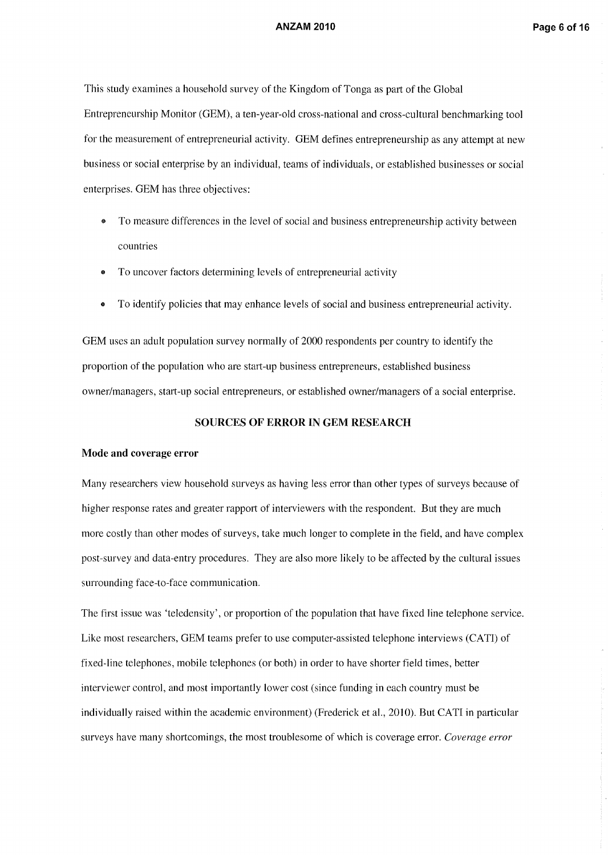This study examines a household survey of the Kingdom of Tonga as part of the Global Entrepreneurship Monitor (GEM), a ten-year-old cross-national and cross-cultural benchmarking tool for the measurement of entrepreneurial activity. GEM defines entrepreneurship as any attempt at new business or social enterprise by an individual, teams of individuals, or established businesses or social enterprises. GEM has three objectives:

- To measure differences in the level of social and business entrepreneurship activity between countries
- To uncover factors determining levels of entrepreneurial activity
- To identify policies that may enhance levels of social and business entrepreneurial activity.

GEM uses an adult population survey normally of 2000 respondents per country to identify the proportion of the population who are start-up business entrepreneurs, established business owner/managers, start-up social entrepreneurs, or established owner/managers of a social enterprise.

#### **SOURCES OF ERROR IN GEM RESEARCH**

#### **Mode and coverage error**

Many researchers view household surveys as having less error than other types of surveys because of higher response rates and greater rapport of interviewers with the respondent. But they are much more costly than other modes of surveys, take much longer to complete in the field, and have complex post-survey and data-entry procedures. They are also more likely to be affected by the cultural issues surrounding face-to-face communication.

The first issue was 'teledensity', or proportion of the population that have fixed line telephone service. Like most researchers, GEM teams prefer to use computer-assisted telephone interviews (CAT!) of fixed-line telephones, mobile telephones (or both) in order to have shorter field times, better interviewer control, and most importantly lower cost (since funding in each country must be individually raised within the academic environment) (Frederick et al., 2010). But CATI in particular surveys have many shortcomings, the most troublesome of which is coverage error. *Coverage error*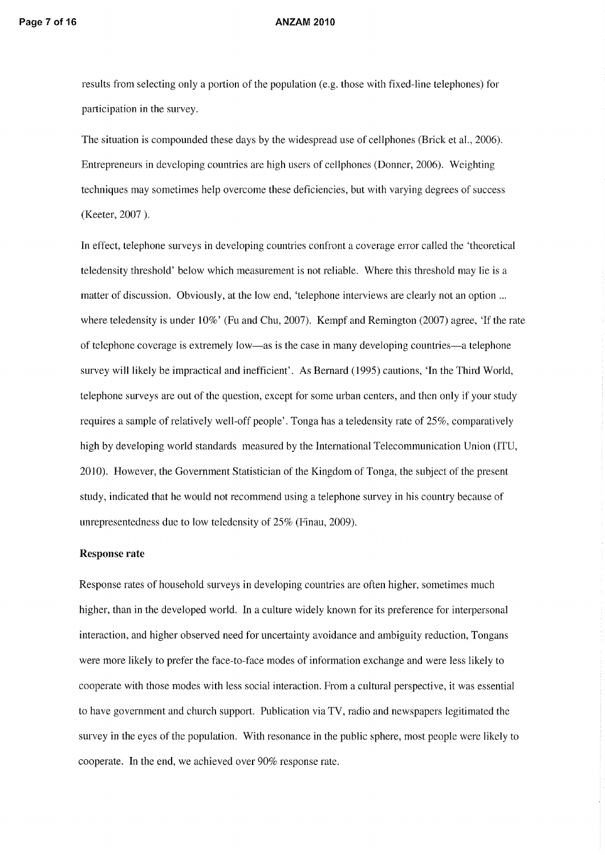results from selecting only a portion of the population (e.g. those with fixed-line telephones) for participation in the survey.

The situation is compounded these days by the widespread use of cell phones (Brick et al., 2006). Entrepreneurs in developing countries are high users of cellphones (Donner, 2006). Weighting techniques may sometimes help overcome these deficiencies, but with varying degrees of success (Keeter, 2007 ).

In effect, telephone surveys in developing countries confront a coverage error called the 'theoretical teledensity threshold' below which measurement is not reliable. Where this threshold may lie is a matter of discussion. Obviously, at the low end, 'telephone interviews are clearly not an option ... where teledensity is under 10%' (Fu and Chu, 2007). Kempf and Remington (2007) agree, 'If the rate of telephone coverage is extremely low-as is the case in many developing countries-a telephone survey will likely be impractical and inefficient'. As Bernard (1995) cautions, 'In the Third World, telephone surveys are out of the question, except for some urban centers, and then only if your study requires a sample of relatively well-off people'. Tonga has a teledensity rate of 25%, comparatively high by developing world standards measured by the International Telecommunication Union (ITU, 2010). However, the Government Statistician of the Kingdom of Tonga, the subject of the present study, indicated that he would not recommend using a telephone survey in his country because of unrepresentedness due to low teledensity of 25% (Finau, 2009).

#### Response rate

Response rates of household surveys in developing countries are often higher, sometimes much higher, than in the developed world. In a culture widely known for its preference for interpersonal interaction, and higher observed need for uncertainty avoidance and ambiguity reduction, Tongans were more likely to prefer the face-to-face modes of information exchange and were less likely to cooperate with those modes with less social interaction. From a cultural perspective, it was essential to have government and church support. Publication via TV, radio and newspapers legitimated the survey in the eyes of the population. With resonance in the public sphere, most people were likely to cooperate. In the end, we achieved over 90% response rate.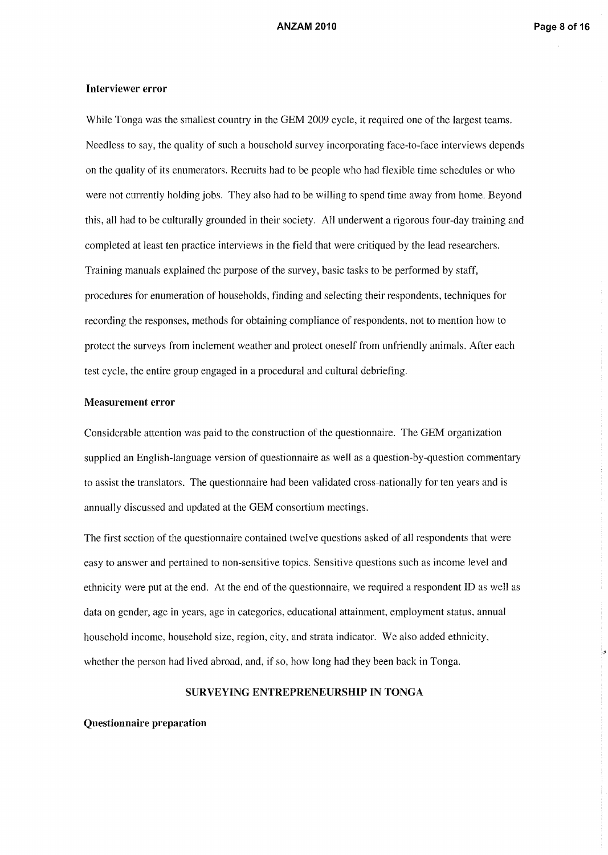### Interviewer error

While Tonga was the smallest country in the GEM 2009 cycle, it required one of the largest teams. Needless to say, the quality of such a household survey incorporating face-to-face interviews depends on the quality of its enumerators. Recruits had to be people who had flexible time schedules or who were not currently holding jobs. They also had to be willing to spend time away from home. Beyond this, all had to be culturally grounded in their society. All underwent a rigorous four-day training and completed at least ten practice interviews in the field that were critiqued by the lead researchers. Training manuals explained the purpose of the survey, basic tasks to be performed by staff, procedures for enumeration of households, finding and selecting their respondents, techniques for recording the responses, methods for obtaining compliance of respondents, not to mention how to protect the surveys from inclement weather and protect oneself from unfriendly animals. After each test cycle, the entire group engaged in a procedural and cultural debriefing.

#### Measurement error

Considerable attention was paid to the construction of the questionnaire. The GEM organization supplied an English-language version of questionnaire as well as a question-by-question commentary to assist the translators. The questionnaire had been validated cross-nationally for ten years and is annually discussed and updated at the GEM consortium meetings.

The first section of the questionnaire contained twelve questions asked of all respondents that were easy to answer and pertained to non-sensitive topics. Sensitive questions such as income level and ethnicity were put at the end. At the end of the questionnaire, we required a respondent ID as well as data on gender, age in years, age in categories, educational attainment, employment status, annual household income, household size, region, city, and strata indicator. We also added ethnicity, whether the person had lived abroad, and, if so, how long had they been back in Tonga.

### SURVEYING ENTREPRENEURSHIP IN TONGA

Questionnaire preparation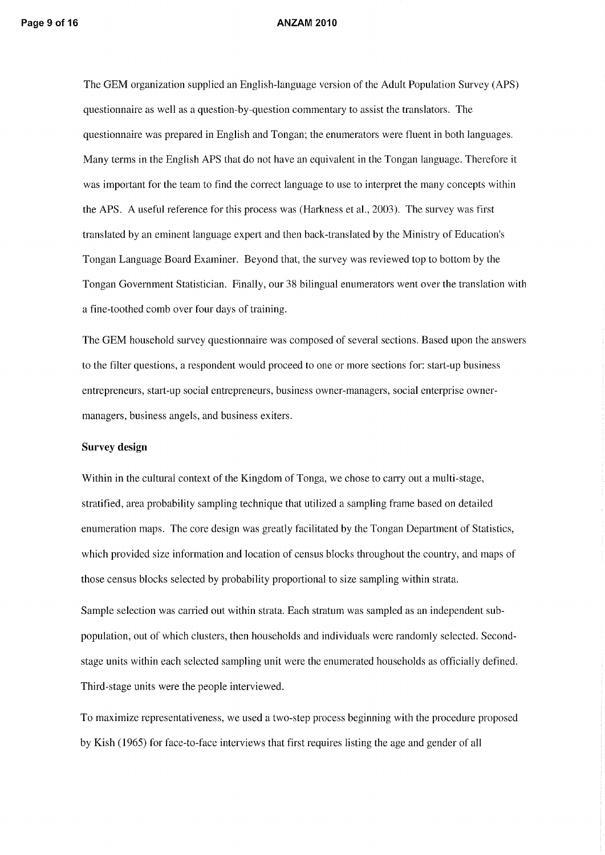The GEM organization supplied an English-language version of the Adult Population Survey (APS) questionnaire as well as a question-by-question commentary to assist the translators. The questionnaire was prepared in English and Tongan; the enumerators were fluent in both languages. Many terms in the English APS that do not have an equivalent in the Tongan language. Therefore it was important for the team to find the correct language to use to interpret the many concepts within the APS. A useful reference for this process was (Harkness et aI., 2003). The survey was first translated by an eminent language expert and then back-translated by the Ministry of Education's Tongan Language Board Examiner. Beyond that, the survey was reviewed top to bottom by the Tongan Government Statistician. Finally, our 38 bilingual enumerators went over the translation with a fine-toothed comb over four days of training.

The GEM household survey questionnaire was composed of several sections. Based upon the answers to the filter questions, a respondent would proceed to one or more sections for: start-up business entrepreneurs, start-up social entrepreneurs, business owner-managers, social enterprise ownermanagers, business angels, and business exiters.

#### Survey **design**

Within in the cultural context of the Kingdom of Tonga, we chose to carry out a multi-stage, stratified, area probability sampling technique that utilized a sampling frame based on detailed enumeration maps. The core design was greatly facilitated by the Tongan Department of Statistics, which provided size information and location of census blocks throughout the country, and maps of those census blocks selected by probability proportional to size sampling within strata.

Sample selection was carried out within strata. Each stratum was sampled as an independent subpopulation, out of which clusters, then households and individuals were randomly selected. Secondstage units within each selected sampling unit were the enumerated households as officially defined. Third-stage units were the people interviewed.

To maximize representativeness, we used a two-step process beginning with the procedure proposed by Kish (1965) for face-to-face interviews that first requires listing the age and gender of all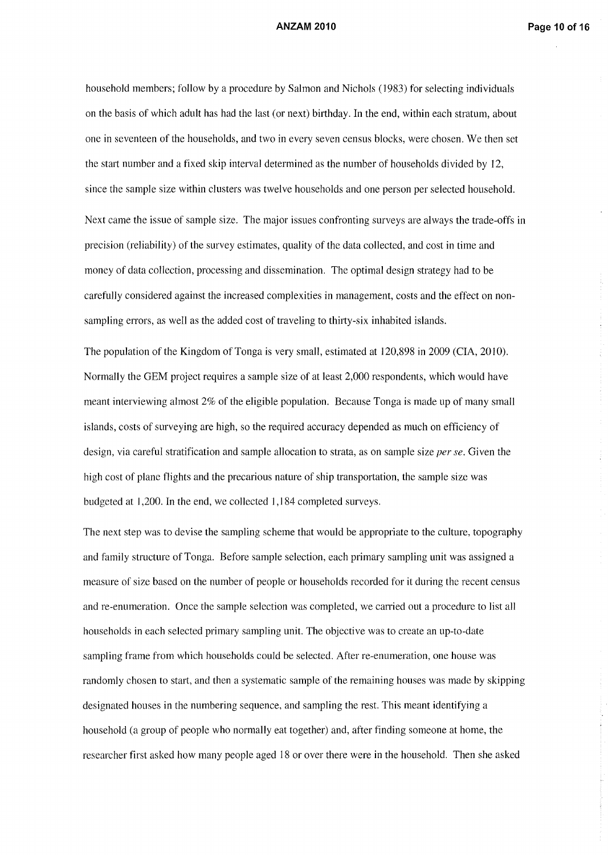household members; follow by a procedure by Salmon and Nichols (1983) for selecting individuals on the basis of which adult has had the last (or next) birthday. In the end, within each stratum, about one in seventeen of the households, and two in every seven census blocks, were chosen. We then set the start number and a fixed skip interval determined as the number of households divided by 12, since the sample size within clusters was twelve households and one person per selected household. Next came the issue of sample size. The major issues confronting surveys are always the trade-offs in precision (reliability) of the survey estimates, quality of the data collected, and cost in time and money of data collection, processing and dissemination. The optimal design strategy had to be carefully considered against the increased complexities in management, costs and the effect on nonsampling errors, as well as the added cost of traveling to thirty-six inhabited islands.

The population of the Kingdom of Tonga is very small, estimated at 120,898 in 2009 (CIA, 2010). Normally the GEM project requires a sample size of at least 2,000 respondents, which would have meant interviewing almost 2% of the eligible population. Because Tonga is made up of many small islands, costs of surveying are high, so the required accuracy depended as much on efficiency of design, via careful stratification and sample allocation to strata, as on sample size *per se.* Given the high cost of plane flights and the precarious nature of ship transportation, the sample size was budgeted at 1,200. In the end, we collected 1,184 completed surveys.

The next step was to devise the sampling scheme that would be appropriate to the culture, topography and family structure of Tonga. Before sample selection, each primary sampling unit was assigned a measure of size based on the number of people or households recorded for it during the recent census and re-enumeration. Once the sample selection was completed, we carried out a procedure to list all households in each selected primary sampling unit. The objective was to create an up-to-date sampling frame from which households could be selected. After re-enumeration, one house was randomly chosen to start, and then a systematic sample of the remaining houses was made by skipping designated houses in the numbering sequence, and sampling the rest. This meant identifying a household (a group of people who normally eat together) and, after finding someone at home, the researcher first asked how many people aged 18 or over there were in the household. Then she asked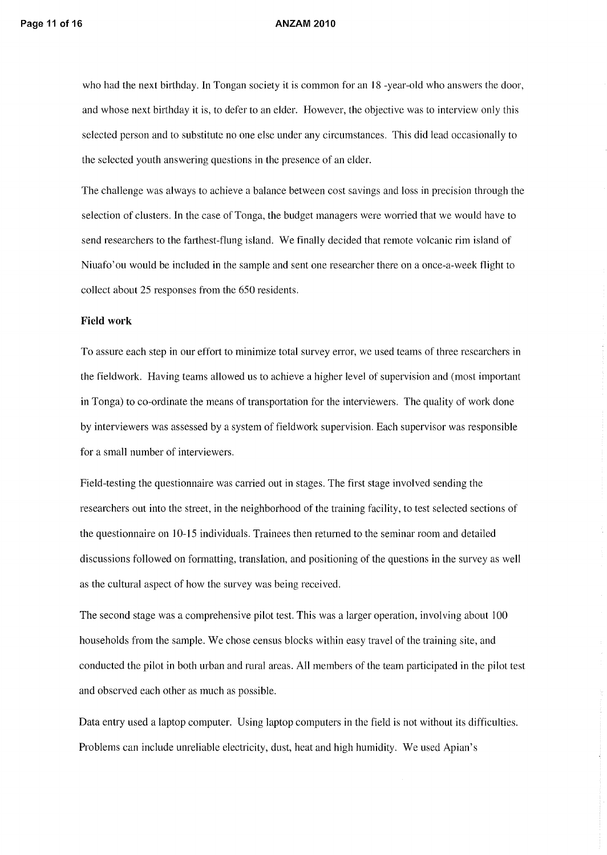who had the next birthday. In Tongan society it is common for an 18 -year-old who answers the door, and whose next birthday it is, to defer to an elder. However, the objective was to interview only this selected person and to substitute no one else under any circumstances. This did lead occasionally to the selected youth answering questions in the presence of an elder.

The challenge was always to achieve a balance between cost savings and loss in precision through the selection of clusters. In the case of Tonga, the budget managers were worried that we would have to send researchers to the farthest-flung island. We finally decided that remote volcanic rim island of Niuafo' ou would be included in the sample and sent one researcher there on a once-a-week flight to collect about 25 responses from the 650 residents.

### **Field work**

To assure each step in our effort to minimize total survey error, we used teams of three researchers in the fieldwork. Having teams allowed us to achieve a higher level of supervision and (most important in Tonga) to co-ordinate the means of transportation for the interviewers. The quality of work done by interviewers was assessed by a system of fieldwork supervision. Each supervisor was responsible for a small number of interviewers.

Field-testing the questionnaire was carried out in stages. The first stage involved sending the researchers out into the street, in the neighborhood of the training facility, to test selected sections of the questionnaire on 10-15 individuals. Trainees then returned to the seminar room and detailed discussions followed on formatting, translation, and positioning of the questions in the survey as well as the cultural aspect of how the survey was being received.

The second stage was a comprehensive pilot test. This was a larger operation, involving about 100 households from the sample. We chose census blocks within easy travel of the training site, and conducted the pilot in both urban and rural areas. All members of the team participated in the pilot test and observed each other as much as possible.

Data entry used a laptop computer. Using laptop computers in the field is not without its difficulties. Problems can include unreliable electricity, dust, heat and high humidity. We used Apian's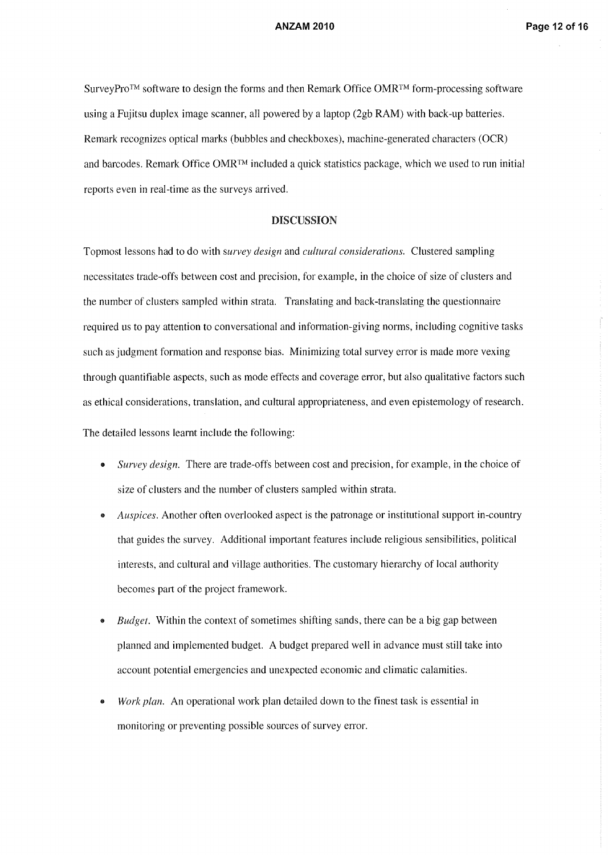SurveyPro™ software to design the forms and then Remark Office OMRTM form-processing software using a Fujitsu duplex image scanner, all powered by a laptop (2gb RAM) with back-up batteries. Remark recognizes optical marks (bubbles and checkboxes), machine-generated characters (OCR) and barcodes. Remark Office  $OMR^{TM}$  included a quick statistics package, which we used to run initial reports even in real-time as the surveys arrived.

#### DISCUSSION

Topmost lessons had to do with *survey design* and *cultural considerations.* Clustered sampling necessitates trade-offs between cost and precision, for example, in the choice of size of clusters and the number of clusters sampled within strata. Translating and back-translating the questionnaire required us to pay attention to conversational and infonnation-giving norms, including cognitive tasks such as judgment formation and response bias. Minimizing total survey error is made more vexing through quantifiable aspects, such as mode effects and coverage enor, but also qualitative factors such as ethical considerations, translation, and cultural appropriateness, and even epistemology of research.

The detailed lessons learnt include the following:

- *Survey design.* There are trade-offs between cost and precision, for example, in the choice of size of clusters and the number of clusters sampled within strata.
- *Auspices.* Another often overlooked aspect is the patronage or institutional support in-country that guides the survey. Additional important features include religious sensibilities, political interests, and cultural and village authorities. The customary hierarchy of local authority becomes part of the project framework.
- *Budget.* Within the context of sometimes shifting sands, there can be a big gap between planned and implemented budget. A budget prepared well in advance must still take into account potential emergencies and unexpected economic and climatic calamities.
- *Work plan.* An operational work plan detailed down to the finest task is essential in monitoring or preventing possible sources of survey error.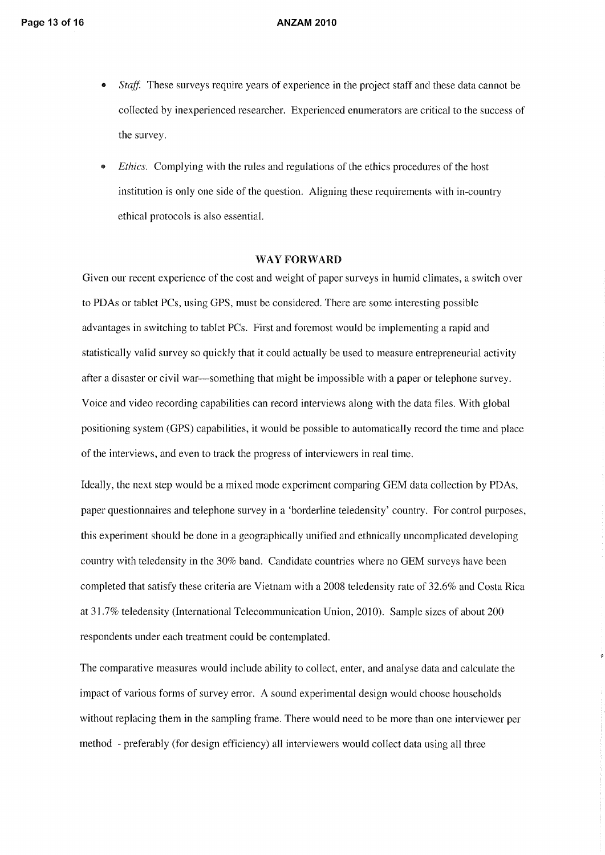- *Staff.* These surveys require years of experience in the project staff and these data cannot be collected by inexperienced researcher. Experienced enumerators are critical to the success of the survey.
- *Ethics.* Complying with the rules and regulations of the ethics procedures of the host institution is only one side of the question. Aligning these requirements with in-country ethical protocols is also essential.

#### WAY FORWARD

Given our recent experience of the cost and weight of paper surveys in humid climates, a switch over to PDAs or tablet PCs, using GPS, must be considered. There are some interesting possible advantages in switching to tablet PCs. First and foremost would be implementing a rapid and statistically valid survey so quickly that it could actually be used to measure entrepreneurial activity after a disaster or civil war-something that might be impossible with a paper or telephone survey. Voice and video recording capabilities can record interviews along with the data files. With global positioning system (GPS) capabilities, it would be possible to automatically record the time and place of the interviews, and even to track the progress of interviewers in real time.

Ideally, the next step would be a mixed mode experiment comparing GEM data collection by PDAs, paper questionnaires and telephone survey in a 'borderline teledensity' country. For control purposes, this experiment should be done in a geographically unified and ethnically uncomplicated developing country with teledensity in the 30% band. Candidate countries where no GEM surveys have been completed that satisfy these criteria are Vietnam with a 2008 teledensity rate of 32.6% and Costa Rica at 31.7% teledensity (International Telecommunication Union, 20] 0). Sample sizes of about 200 respondents under each treatment could be contemplated.

The comparative measures would include ability to collect, enter, and analyse data and calculate the impact of various forms of survey error. A sound experimental design would choose households without replacing them in the sampling frame. There would need to be more than one interviewer per method - preferably (for design efficiency) all interviewers would collect data using all three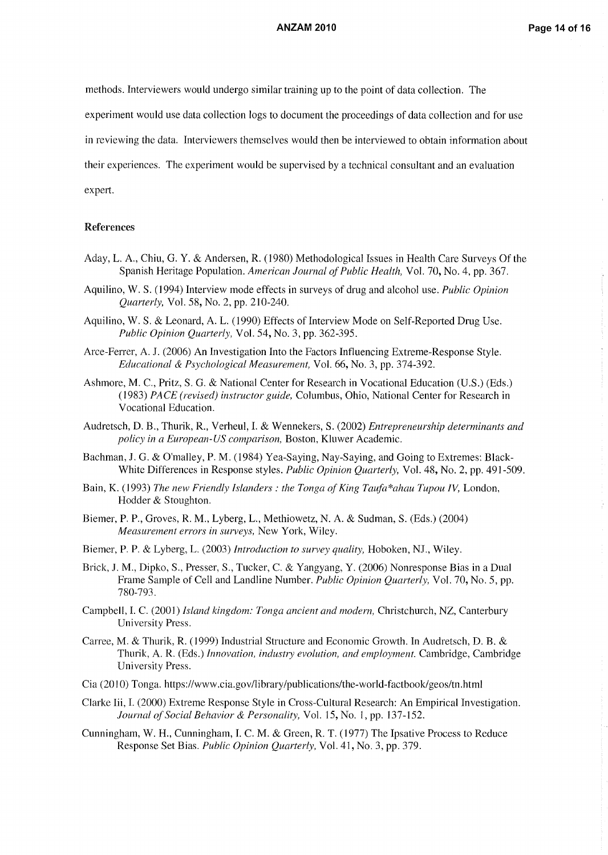methods. Interviewers would undergo similar training up to the point of data collection. The

experiment would use data collection logs to document the proceedings of data collection and for use

in reviewing the data. Interviewers themselves would then be interviewed to obtain information about

their experiences. The experiment would be supervised by a technical consultant and an evaluation

expert.

#### References

- Aday, L. A., Chiu, G. Y. & Andersen, R. (1980) Methodological Issues in Health Care Surveys Of the Spanish Heritage Population. *American Journal of Public Health,* Vol. 70, No.4, pp. 367.
- Aquilino, W. S. (1994) Interview mode effects in surveys of drug and alcohol use. *Public Opinion Quarterly,* Vol. 58, No.2, pp. 210-240.
- Aquilino, W. S. & Leonard, A. L. (1990) Effects of Interview Mode on Self-Reported Drug Use. *Public Opinion Quarterly,* Vol. 54, No.3, pp. 362-395.
- Arce-Ferrer, A. J. (2006) An Investigation Into the Factors Influencing Extreme-Response Style. *Educational* & *Psychological Measurement,* Vol. 66, No.3, pp. 374-392.
- Ashmore, M. C., Pritz, S. G. & National Center for Research in Vocational Education (U.S.) (Eds.) *(1983) PACE (revised) instructor guide,* Columbus, Ohio, National Center for Research in Vocational Education.
- Audretsch, D. B., ThUIik, R., Verheul, I. & Wennekers, S. (2002) *Entrepreneurship determinants and policy in a European-US comparison,* Boston, Kluwer Academic.
- Bachman, J. G. & O'malley, P. M. (1984) Yea-Saying, Nay-Saying, and Going to Extremes: Black-White Differences in Response styles. *Public Opinion Quarterly,* Vol. 48, No.2, pp. 491-509.
- Bain, K. (1993) *The new Friendly Islanders: the Tonga of King Taufa\*ahau Tupou IV,* London, Hodder & Stoughton.
- Biemer, P. P., Groves, R. M., Lyberg, L., Methiowetz, N. A. & Sudman, S. (Eds.) (2004) *Measurement errors in surveys,* New York, Wiley.
- Biemer, P. P. & Lyberg, L. (2003) *Introduction to survey quality,* Hoboken, NJ., Wiley.
- Brick, J. M., Dipko, S., Presser, S., Tucker, C. & Yangyang, Y. (2006) Nonresponse Bias in a Dual Frame Sample of Cell and Landline Number. *Public Opinion Quarterly,* Vol. 70, No.5, pp. 780-793.
- Campbell, 1. C. (2001) *Island kingdom: Tonga ancient and modern,* Christchurch, NZ, Canterbury University Press.
- Carree, M. & Thurik, R. (1999) Industrial Structure and Economic Growth. In Audretsch, D. B. & Thurik, A. R. (Eds.) *Innovation, industry evolution, and employment.* Cambridge, Cambridge University Press.
- Cia (2010) Tonga. https://www.cia.gov/library/publications/the-world-factbook/geos/tn.html
- Clarke Iii, 1. (2000) Extreme Response Style in Cross-Cultural Research: An Empirical Investigation. *Journal of Social Behavior* & *Personality,* Vol. 15, No.1, pp. 137-152.
- Cunningham, W. H., Cunningham, 1. C. M. & Green, R. T. (1977) The Ipsative Process to Reduce Response Set Bias. *Public Opinion Quarterly,* Vol. 41, No.3, pp. 379.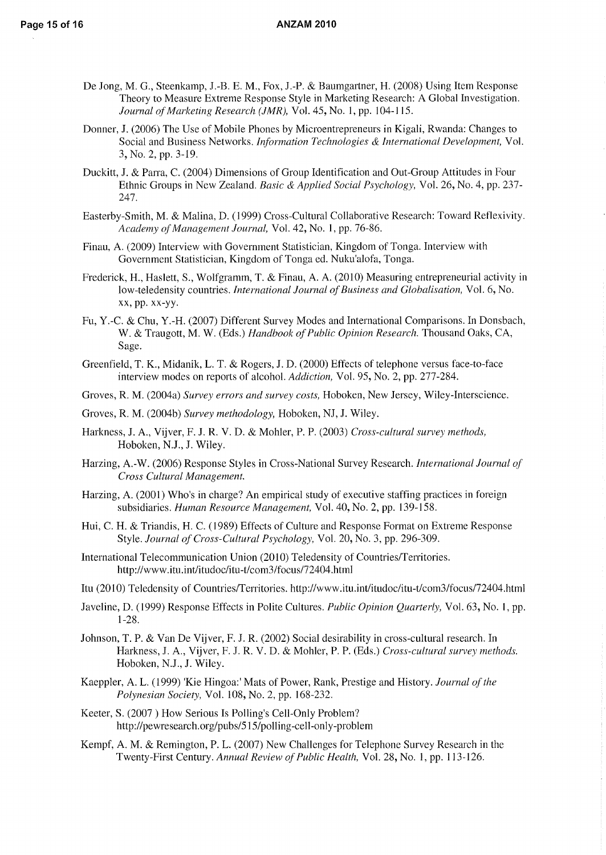- De Jong, M. G., Steenkamp, J.-B. E. M., Fox, J.-P. & Baumgartner, H. (2008) Using Item Response Theory to Measure Extreme Response Style in Marketing Research: A Global Investigation. *Journal of Marketing Research (JMR),* Vol. 45, **No.1,** pp. 104-115.
- Donner, J. (2006) The Use of Mobile Phones by Microentrepreneurs in Kigali, Rwanda: Changes to Social and Business Networks. *Information Technologies* & *International Development,* Vol. 3, No.2, pp. 3-19.
- Duckitt, J. & Parra, C. (2004) Dimensions of Group Identification and Out-Group Attitudes in Four Ethnic Groups in New Zealand. *Basic* & *Applied Social Psychology,* Vol. 26, No.4, pp. 237- 247.
- Easterby-Smith, M. & Malina, D. (1999) Cross-Cultural Collaborative Research: Toward Reflexivity. *Academy of Management Journal,* Vol. 42, No.1, pp. 76-86.
- Finau, A. (2009) Interview with Government Statistician, Kingdom of Tonga. Interview with Government Statistician, Kingdom of Tonga ed. Nuku'alofa, Tonga.
- Frederick, H., Haslett, S., Wolfgramm, T. & Finau, A. A. (2010) Measuring entrepreneurial activity in low-teledensity countries. *International Journal of Business and Globalisation,* Vol. 6, No. xx, pp. xx-yy.
- Fu, Y.-C. & Chu, Y.-H. (2007) Different Survey Modes and International Comparisons. In Donsbach, W. & Traugott, M. W. (Eds.) *Handbook of Public Opinion Research.* Thousand Oaks, CA, Sage.
- Greenfield, T. K., Midanik, L. T. & Rogers, J. D. (2000) Effects of telephone versus face-to-face interview modes on reports of alcohol. *Addiction*, Vol. 95, No. 2, pp. 277-284.
- Groves, R. M. (2004a) *Survey errors and survey costs,* Hoboken, New Jersey, Wiley-Interscience.
- Groves, R. M. (2004b) *Survey methodology,* Hoboken, NJ, J. Wiley.
- Harkness, J. A., Vijver, F. J. R. V. D. & Mohler, P. P. (2003) *Cross-cultural survey methods,*  Hoboken, N.J., J. Wiley.
- Harzing, A.-W. (2006) Response Styles in Cross-National Survey Research. *International Journal of Cross Cultural Management.*
- Harzing, A. (2001) Who's in charge? An empirical study of executive staffing practices in foreign subsidiaries. *Human Resource Management,* Vol. 40, No.2, pp. 139-158.
- Hui, C. H. & Triandis, H. C. (1989) Effects of Culture and Response Format on Extreme Response Style. *Journal of Cross-Cultural Psychology,* Vol. 20, No.3, pp. 296-309.
- International Telecommunication Union (2010) Teledensity of Countries/Territories. http://www.itu.int/itudoc/itu-t/com3/focus/72404.html
- Itu (2010) Teledensity of Countries/Territories. http://www.itu.int/itudoc/itu-t/com3/focus/72404.html
- Javeline, D. (1999) Response Effects in Polite Cultures. *Public Opinion Quarterly,* Vol. 63, **No.1,** pp. 1-28.
- Johnson, T. P. & Van De Vijver, F. J. R. (2002) Social desirability in cross-cultural research. In Harkness, J. A., Vijver, F. 1. R. V. D. & Mohler, P. P. (Eds.) *Cross-cultural survey methods.*  Hoboken, N.J., J. Wiley.
- Kaeppler, A. L. (1999) 'Kie Hingoa:' Mats of Power, Rank, Prestige and History. *Journal of the Polynesian Society,* Vol. 108, No.2, pp. 168-232.
- Keeter, S. (2007 ) How Serious Is Polling's Cell-Only Problem? http://pewresearch.org/pubs/515/polling-cell-only-problem
- Kempf, A. M. & Remington, P. L. (2007) New Challenges for Telephone Survey Research in the Twenty-First Century. *Annual Review of Public Health,* Vol. 28, No. I, pp. 113-126.